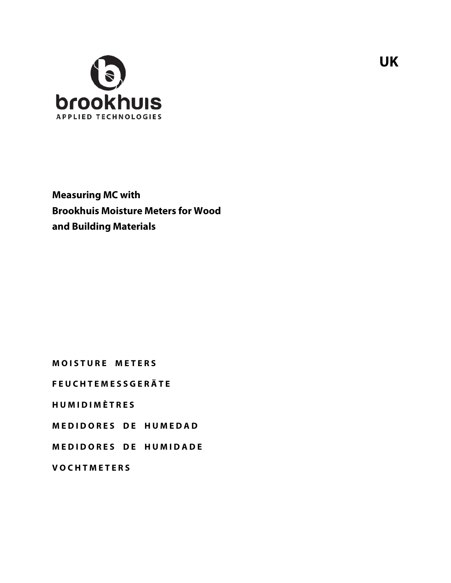

**Measuring MC with Brookhuis Moisture Meters for Wood and Building Materials**

**M O I S T U R E M E T E R S** 

**F E U C H T E M E S S G E R Ä T E** 

**H U M I D I M È T R E S**

**MEDIDORES DE HUMEDAD** 

**M E D I D O R E S D E H U M I D A D E** 

**V O C H T M E T E R S**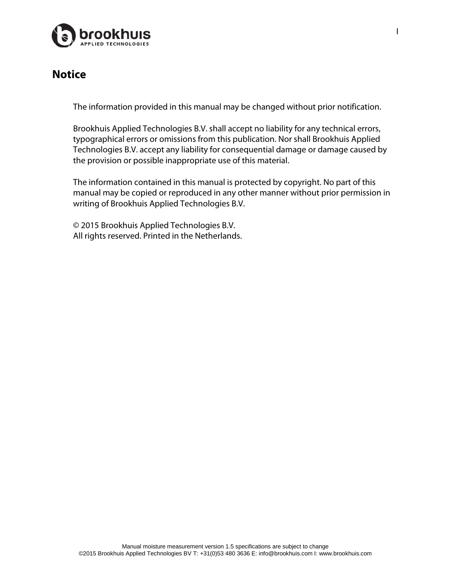

### **Notice**

The information provided in this manual may be changed without prior notification.

Brookhuis Applied Technologies B.V. shall accept no liability for any technical errors, typographical errors or omissions from this publication. Nor shall Brookhuis Applied Technologies B.V. accept any liability for consequential damage or damage caused by the provision or possible inappropriate use of this material.

The information contained in this manual is protected by copyright. No part of this manual may be copied or reproduced in any other manner without prior permission in writing of Brookhuis Applied Technologies B.V.

© 2015 Brookhuis Applied Technologies B.V. All rights reserved. Printed in the Netherlands.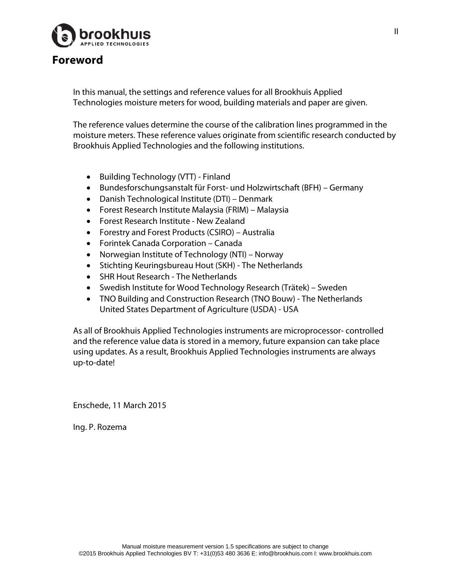

### **Foreword**

In this manual, the settings and reference values for all Brookhuis Applied Technologies moisture meters for wood, building materials and paper are given.

The reference values determine the course of the calibration lines programmed in the moisture meters. These reference values originate from scientific research conducted by Brookhuis Applied Technologies and the following institutions.

- Building Technology (VTT) Finland
- Bundesforschungsanstalt für Forst- und Holzwirtschaft (BFH) Germany
- Danish Technological Institute (DTI) Denmark
- Forest Research Institute Malaysia (FRIM) Malaysia
- Forest Research Institute New Zealand
- Forestry and Forest Products (CSIRO) Australia
- Forintek Canada Corporation Canada
- Norwegian Institute of Technology (NTI) Norway
- Stichting Keuringsbureau Hout (SKH) The Netherlands
- SHR Hout Research The Netherlands
- Swedish Institute for Wood Technology Research (Trätek) Sweden
- TNO Building and Construction Research (TNO Bouw) The Netherlands United States Department of Agriculture (USDA) - USA

As all of Brookhuis Applied Technologies instruments are microprocessor- controlled and the reference value data is stored in a memory, future expansion can take place using updates. As a result, Brookhuis Applied Technologies instruments are always up-to-date!

Enschede, 11 March 2015

Ing. P. Rozema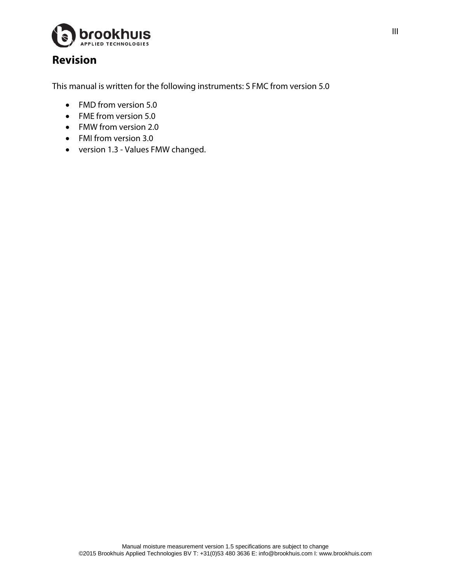

# **Revision**

This manual is written for the following instruments: S FMC from version 5.0

- FMD from version 5.0
- FME from version 5.0
- FMW from version 2.0
- FMI from version 3.0
- version 1.3 Values FMW changed.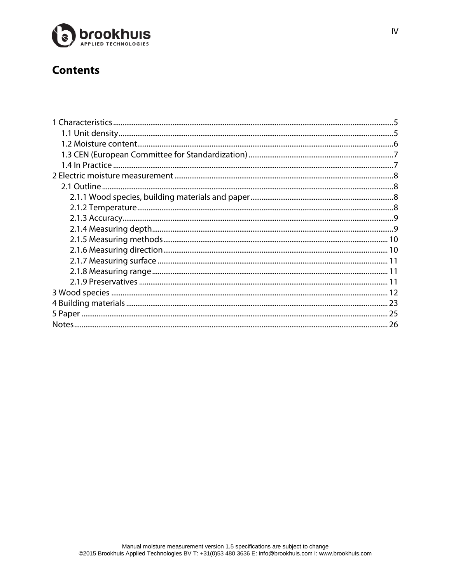

# **Contents**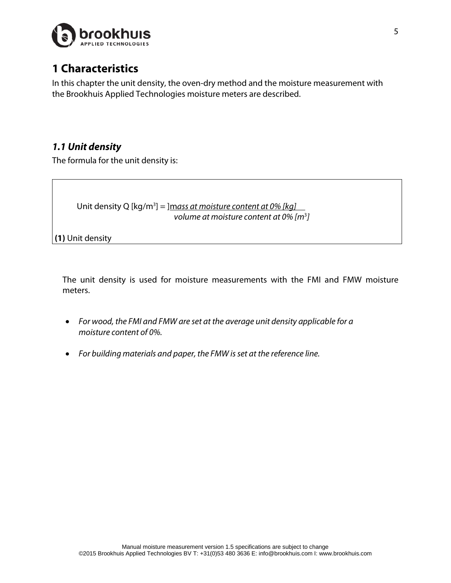

# <span id="page-6-0"></span>**1 Characteristics**

In this chapter the unit density, the oven-dry method and the moisture measurement with the Brookhuis Applied Technologies moisture meters are described.

### <span id="page-6-1"></span>*1.1 Unit density*

The formula for the unit density is:

 Unit density Q [kg/m3 ] = ]m*ass at moisture content at 0% [kg] volume at moisture content at 0% [m*<sup>3</sup> *]*

**(1)** Unit density

The unit density is used for moisture measurements with the FMI and FMW moisture meters.

- *For wood, the FMI and FMW are set at the average unit density applicable for a moisture content of 0%.*
- *For building materials and paper, the FMW is set at the reference line.*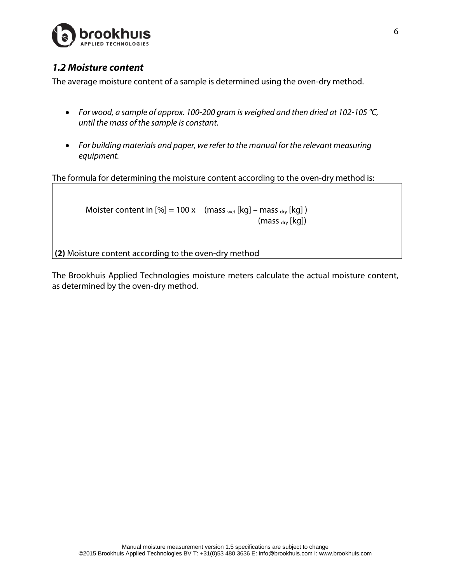

#### <span id="page-7-0"></span>*1.2 Moisture content*

The average moisture content of a sample is determined using the oven-dry method.

- *For wood, a sample of approx. 100-200 gram is weighed and then dried at 102-105 °C, until the mass of the sample is constant.*
- *For building materials and paper, we refer to the manual for the relevant measuring equipment.*

The formula for determining the moisture content according to the oven-dry method is:

Moister content in  $[\%] = 100 \times \frac{mass_{wet}[kq] - mass_{dry}[kq]}{mass_{wet}[kq]}$  $(mass<sub>div</sub> [kq])$ 

**(2)** Moisture content according to the oven-dry method

The Brookhuis Applied Technologies moisture meters calculate the actual moisture content, as determined by the oven-dry method.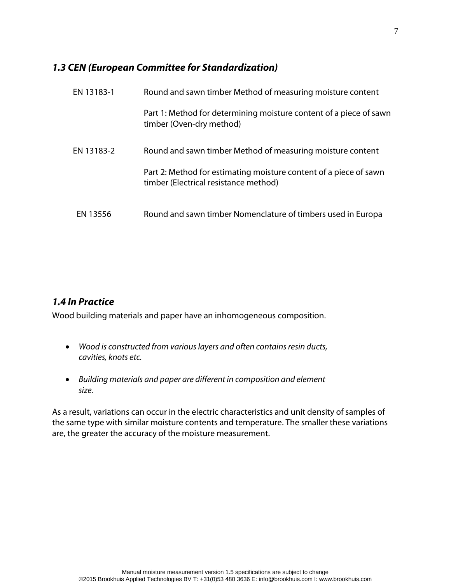#### <span id="page-8-0"></span>*1.3 CEN (European Committee for Standardization)*

| EN 13183-1 | Round and sawn timber Method of measuring moisture content                                                 |
|------------|------------------------------------------------------------------------------------------------------------|
|            | Part 1: Method for determining moisture content of a piece of sawn<br>timber (Oven-dry method)             |
| EN 13183-2 | Round and sawn timber Method of measuring moisture content                                                 |
|            | Part 2: Method for estimating moisture content of a piece of sawn<br>timber (Electrical resistance method) |
| EN 13556   | Round and sawn timber Nomenclature of timbers used in Europa                                               |

#### <span id="page-8-1"></span>*1.4 In Practice*

Wood building materials and paper have an inhomogeneous composition.

- *Wood is constructed from various layers and often contains resin ducts, cavities, knots etc.*
- *Building materials and paper are different in composition and element size.*

As a result, variations can occur in the electric characteristics and unit density of samples of the same type with similar moisture contents and temperature. The smaller these variations are, the greater the accuracy of the moisture measurement.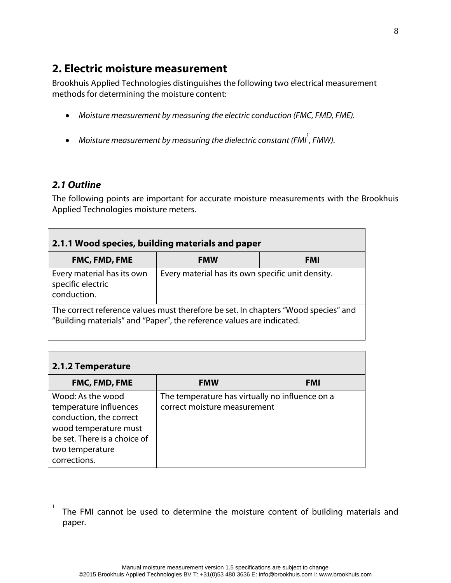### <span id="page-9-0"></span>**2. Electric moisture measurement**

Brookhuis Applied Technologies distinguishes the following two electrical measurement methods for determining the moisture content:

- *Moisture measurement by measuring the electric conduction (FMC, FMD, FME).*
- Moisture measurement by measuring the dielectric constant (FMI<sup>'</sup>, FMW).

#### <span id="page-9-1"></span>*2.1 Outline*

1

The following points are important for accurate moisture measurements with the Brookhuis Applied Technologies moisture meters.

<span id="page-9-2"></span>

| 2.1.1 Wood species, building materials and paper                                                                                                            |                                                   |            |  |
|-------------------------------------------------------------------------------------------------------------------------------------------------------------|---------------------------------------------------|------------|--|
| <b>FMC, FMD, FME</b>                                                                                                                                        | <b>FMW</b>                                        | <b>FMI</b> |  |
| Every material has its own<br>specific electric<br>conduction.                                                                                              | Every material has its own specific unit density. |            |  |
| The correct reference values must therefore be set. In chapters "Wood species" and<br>"Building materials" and "Paper", the reference values are indicated. |                                                   |            |  |

<span id="page-9-3"></span>

| 2.1.2 Temperature                                                                                                                                                  |                                                                                 |            |
|--------------------------------------------------------------------------------------------------------------------------------------------------------------------|---------------------------------------------------------------------------------|------------|
| <b>FMC, FMD, FME</b>                                                                                                                                               | <b>FMW</b>                                                                      | <b>FMI</b> |
| Wood: As the wood<br>temperature influences<br>conduction, the correct<br>wood temperature must<br>be set. There is a choice of<br>two temperature<br>corrections. | The temperature has virtually no influence on a<br>correct moisture measurement |            |

The FMI cannot be used to determine the moisture content of building materials and paper.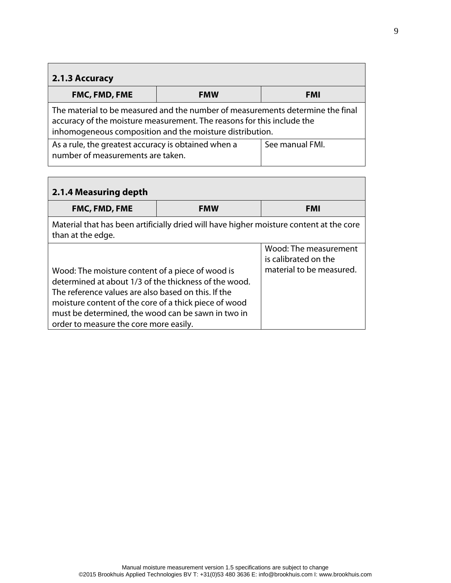<span id="page-10-0"></span>

| $\vert$ 2.1.3 Accuracy                                                                                                                                                                                               |            |                 |
|----------------------------------------------------------------------------------------------------------------------------------------------------------------------------------------------------------------------|------------|-----------------|
| FMC, FMD, FME                                                                                                                                                                                                        | <b>FMW</b> | <b>FMI</b>      |
| The material to be measured and the number of measurements determine the final<br>accuracy of the moisture measurement. The reasons for this include the<br>inhomogeneous composition and the moisture distribution. |            |                 |
| As a rule, the greatest accuracy is obtained when a<br>number of measurements are taken.                                                                                                                             |            | See manual FMI. |

<span id="page-10-1"></span>

| 2.1.4 Measuring depth                                                                                                                                                                                                                                                                                                     |            |                                                                           |
|---------------------------------------------------------------------------------------------------------------------------------------------------------------------------------------------------------------------------------------------------------------------------------------------------------------------------|------------|---------------------------------------------------------------------------|
| <b>FMC, FMD, FME</b>                                                                                                                                                                                                                                                                                                      | <b>FMW</b> | <b>FMI</b>                                                                |
| Material that has been artificially dried will have higher moisture content at the core<br>than at the edge.                                                                                                                                                                                                              |            |                                                                           |
| Wood: The moisture content of a piece of wood is<br>determined at about 1/3 of the thickness of the wood.<br>The reference values are also based on this. If the<br>moisture content of the core of a thick piece of wood<br>must be determined, the wood can be sawn in two in<br>order to measure the core more easily. |            | Wood: The measurement<br>is calibrated on the<br>material to be measured. |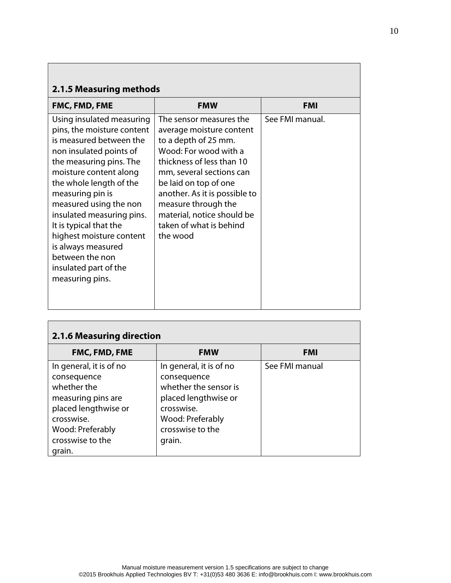<span id="page-11-0"></span>

| 2.1.5 Measuring methods                                                                                                                                                                                                                                                                                                                                                                                             |                                                                                                                                                                                                                                                                                                                     |                 |  |
|---------------------------------------------------------------------------------------------------------------------------------------------------------------------------------------------------------------------------------------------------------------------------------------------------------------------------------------------------------------------------------------------------------------------|---------------------------------------------------------------------------------------------------------------------------------------------------------------------------------------------------------------------------------------------------------------------------------------------------------------------|-----------------|--|
| FMC, FMD, FME                                                                                                                                                                                                                                                                                                                                                                                                       | <b>FMW</b>                                                                                                                                                                                                                                                                                                          | <b>FMI</b>      |  |
| Using insulated measuring<br>pins, the moisture content<br>is measured between the<br>non insulated points of<br>the measuring pins. The<br>moisture content along<br>the whole length of the<br>measuring pin is<br>measured using the non<br>insulated measuring pins.<br>It is typical that the<br>highest moisture content<br>is always measured<br>between the non<br>insulated part of the<br>measuring pins. | The sensor measures the<br>average moisture content<br>to a depth of 25 mm.<br>Wood: For wood with a<br>thickness of less than 10<br>mm, several sections can<br>be laid on top of one<br>another. As it is possible to<br>measure through the<br>material, notice should be<br>taken of what is behind<br>the wood | See FMI manual. |  |

<span id="page-11-1"></span>

| 2.1.6 Measuring direction                                                                                                                |                                                                                                                              |                |  |
|------------------------------------------------------------------------------------------------------------------------------------------|------------------------------------------------------------------------------------------------------------------------------|----------------|--|
| <b>FMC, FMD, FME</b>                                                                                                                     | <b>FMW</b>                                                                                                                   | <b>FMI</b>     |  |
| In general, it is of no                                                                                                                  | In general, it is of no                                                                                                      | See FMI manual |  |
| consequence<br>whether the<br>measuring pins are<br>placed lengthwise or<br>crosswise.<br>Wood: Preferably<br>crosswise to the<br>grain. | consequence<br>whether the sensor is<br>placed lengthwise or<br>crosswise.<br>Wood: Preferably<br>crosswise to the<br>grain. |                |  |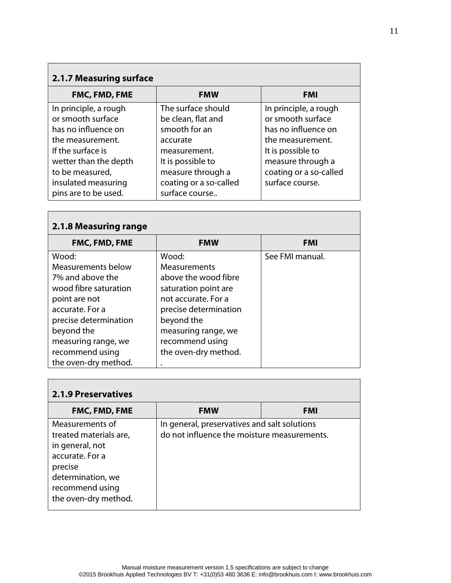| <b>2.1.7 Measuring surface</b> |                        |                        |
|--------------------------------|------------------------|------------------------|
| FMC, FMD, FME                  | <b>FMW</b>             | <b>FMI</b>             |
| In principle, a rough          | The surface should     | In principle, a rough  |
| or smooth surface              | be clean, flat and     | or smooth surface      |
| has no influence on            | smooth for an          | has no influence on    |
| the measurement.               | accurate               | the measurement.       |
| If the surface is              | measurement.           | It is possible to      |
| wetter than the depth          | It is possible to      | measure through a      |
| to be measured,                | measure through a      | coating or a so-called |
| insulated measuring            | coating or a so-called | surface course.        |
| pins are to be used.           | surface course         |                        |

<span id="page-12-0"></span>г

<span id="page-12-1"></span>

| 2.1.8 Measuring range |                       |                 |
|-----------------------|-----------------------|-----------------|
| <b>FMC, FMD, FME</b>  | <b>FMW</b>            | <b>FMI</b>      |
| Wood:                 | Wood:                 | See FMI manual. |
| Measurements below    | Measurements          |                 |
| 7% and above the      | above the wood fibre  |                 |
| wood fibre saturation | saturation point are  |                 |
| point are not         | not accurate. For a   |                 |
| accurate. For a       | precise determination |                 |
| precise determination | beyond the            |                 |
| beyond the            | measuring range, we   |                 |
| measuring range, we   | recommend using       |                 |
| recommend using       | the oven-dry method.  |                 |
| the oven-dry method.  |                       |                 |

<span id="page-12-2"></span>

| <b>2.1.9 Preservatives</b>                                                                                                                                 |                                                                                             |            |
|------------------------------------------------------------------------------------------------------------------------------------------------------------|---------------------------------------------------------------------------------------------|------------|
| <b>FMC, FMD, FME</b>                                                                                                                                       | <b>FMW</b>                                                                                  | <b>FMI</b> |
| Measurements of<br>treated materials are,<br>in general, not<br>accurate. For a<br>precise<br>determination, we<br>recommend using<br>the oven-dry method. | In general, preservatives and salt solutions<br>do not influence the moisture measurements. |            |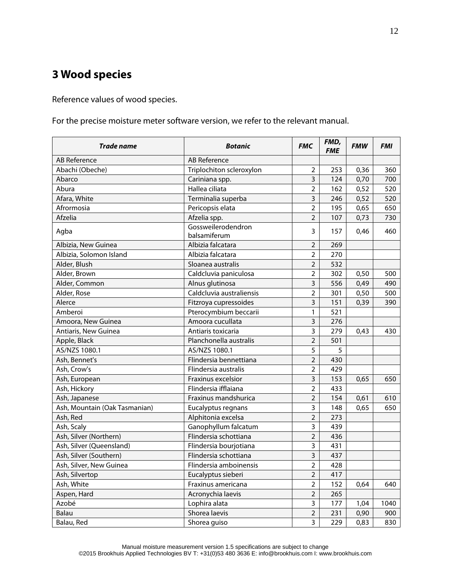# <span id="page-13-0"></span>**3 Wood species**

Reference values of wood species.

For the precise moisture meter software version, we refer to the relevant manual.

| Trade name                    | <b>Botanic</b>                     | <b>FMC</b>              | FMD,<br><b>FME</b> | <b>FMW</b> | <b>FMI</b> |
|-------------------------------|------------------------------------|-------------------------|--------------------|------------|------------|
| AB Reference                  | AB Reference                       |                         |                    |            |            |
| Abachi (Obeche)               | Triplochiton scleroxylon           | $\overline{2}$          | 253                | 0,36       | 360        |
| Abarco                        | Cariniana spp.                     | $\overline{3}$          | 124                | 0,70       | 700        |
| Abura                         | Hallea ciliata                     | $\overline{2}$          | 162                | 0,52       | 520        |
| Afara, White                  | Terminalia superba                 | $\overline{3}$          | 246                | 0,52       | 520        |
| Afrormosia                    | Pericopsis elata                   | $\overline{2}$          | 195                | 0,65       | 650        |
| Afzelia                       | Afzelia spp.                       | $\overline{2}$          | 107                | 0,73       | 730        |
| Agba                          | Gossweilerodendron<br>balsamiferum | 3                       | 157                | 0,46       | 460        |
| Albizia, New Guinea           | Albizia falcatara                  | $\overline{2}$          | 269                |            |            |
| Albizia, Solomon Island       | Albizia falcatara                  | $\overline{2}$          | 270                |            |            |
| Alder, Blush                  | Sloanea australis                  | $\overline{2}$          | 532                |            |            |
| Alder, Brown                  | Caldcluvia paniculosa              | $\overline{2}$          | 302                | 0,50       | 500        |
| Alder, Common                 | Alnus glutinosa                    | $\overline{3}$          | 556                | 0,49       | 490        |
| Alder, Rose                   | Caldcluvia australiensis           | $\overline{2}$          | 301                | 0,50       | 500        |
| Alerce                        | Fitzroya cupressoides              | $\overline{3}$          | 151                | 0,39       | 390        |
| Amberoi                       | Pterocymbium beccarii              | 1                       | 521                |            |            |
| Amoora, New Guinea            | Amoora cucullata                   | 3                       | 276                |            |            |
| Antiaris, New Guinea          | Antiaris toxicaria                 | 3                       | 279                | 0,43       | 430        |
| Apple, Black                  | Planchonella australis             | $\overline{2}$          | 501                |            |            |
| AS/NZS 1080.1                 | AS/NZS 1080.1                      | 5                       | 5                  |            |            |
| Ash, Bennet's                 | Flindersia bennettiana             | $\overline{2}$          | 430                |            |            |
| Ash, Crow's                   | Flindersia australis               | $\overline{2}$          | 429                |            |            |
| Ash, European                 | Fraxinus excelsior                 | 3                       | 153                | 0,65       | 650        |
| Ash, Hickory                  | Flindersia ifflaiana               | $\overline{2}$          | 433                |            |            |
| Ash, Japanese                 | Fraxinus mandshurica               | $\overline{2}$          | 154                | 0,61       | 610        |
| Ash, Mountain (Oak Tasmanian) | Eucalyptus regnans                 | 3                       | 148                | 0,65       | 650        |
| Ash, Red                      | Alphitonia excelsa                 | $\overline{2}$          | 273                |            |            |
| Ash, Scaly                    | Ganophyllum falcatum               | 3                       | 439                |            |            |
| Ash, Silver (Northern)        | Flindersia schottiana              | $\overline{2}$          | 436                |            |            |
| Ash, Silver (Queensland)      | Flindersia bourjotiana             | 3                       | 431                |            |            |
| Ash, Silver (Southern)        | Flindersia schottiana              | 3                       | 437                |            |            |
| Ash, Silver, New Guinea       | Flindersia amboinensis             | $\overline{\mathbf{c}}$ | 428                |            |            |
| Ash, Silvertop                | Eucalyptus sieberi                 | $\overline{2}$          | 417                |            |            |
| Ash, White                    | Fraxinus americana                 | $\overline{2}$          | 152                | 0,64       | 640        |
| Aspen, Hard                   | Acronychia laevis                  | $\overline{2}$          | 265                |            |            |
| Azobé                         | Lophira alata                      | 3                       | 177                | 1,04       | 1040       |
| Balau                         | Shorea laevis                      | $\overline{2}$          | 231                | 0,90       | 900        |
| Balau, Red                    | Shorea guiso                       | $\mathbf{3}$            | 229                | 0,83       | 830        |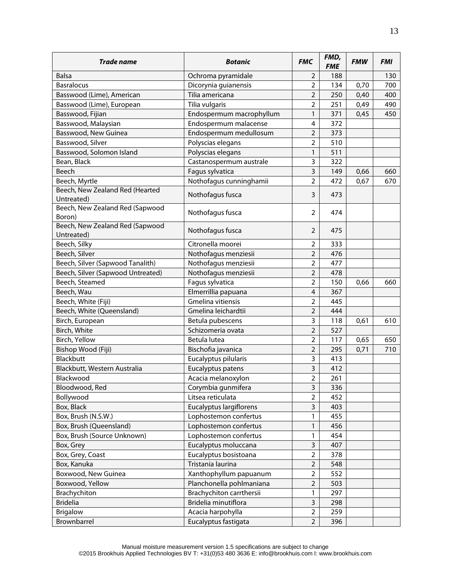| <b>Trade name</b>                 | <b>Botanic</b>                           | <b>FMC</b>                       | FMD,<br><b>FME</b> | <b>FMW</b> | <b>FMI</b> |
|-----------------------------------|------------------------------------------|----------------------------------|--------------------|------------|------------|
| <b>Balsa</b>                      | Ochroma pyramidale                       | $\overline{2}$                   | 188                |            | 130        |
| <b>Basralocus</b>                 | Dicorynia guianensis                     | 2                                | 134                | 0,70       | 700        |
| Basswood (Lime), American         | Tilia americana                          | $\overline{2}$                   | 250                | 0,40       | 400        |
| Basswood (Lime), European         | Tilia vulgaris                           | $\overline{2}$                   | 251                | 0,49       | 490        |
| Basswood, Fijian                  | Endospermum macrophyllum                 | 1                                | 371                | 0,45       | 450        |
| Basswood, Malaysian               | Endospermum malacense                    | $\overline{4}$                   | 372                |            |            |
| Basswood, New Guinea              | Endospermum medullosum                   | $\overline{2}$                   | 373                |            |            |
| Basswood, Silver                  | Polyscias elegans                        | $\overline{2}$                   | 510                |            |            |
| Basswood, Solomon Island          | Polyscias elegans                        | 1                                | 511                |            |            |
| Bean, Black                       | Castanospermum australe                  | 3                                | 322                |            |            |
| Beech                             | Fagus sylvatica                          | 3                                | 149                | 0,66       | 660        |
| Beech, Myrtle                     | Nothofagus cunninghamii                  | $\overline{2}$                   | 472                | 0,67       | 670        |
| Beech, New Zealand Red (Hearted   |                                          |                                  |                    |            |            |
| Untreated)                        | Nothofagus fusca                         | 3                                | 473                |            |            |
| Beech, New Zealand Red (Sapwood   |                                          |                                  |                    |            |            |
| Boron)                            | Nothofagus fusca                         | $\overline{2}$                   | 474                |            |            |
| Beech, New Zealand Red (Sapwood   | Nothofagus fusca                         | $\overline{2}$                   | 475                |            |            |
| Untreated)<br>Beech, Silky        | Citronella moorei                        | $\overline{2}$                   | 333                |            |            |
| Beech, Silver                     | Nothofagus menziesii                     | $\overline{2}$                   | 476                |            |            |
| Beech, Silver (Sapwood Tanalith)  | Nothofagus menziesii                     | $\overline{2}$                   | 477                |            |            |
| Beech, Silver (Sapwood Untreated) | Nothofagus menziesii                     | $\overline{2}$                   | 478                |            |            |
| Beech, Steamed                    |                                          | $\overline{2}$                   | 150                |            | 660        |
|                                   | Fagus sylvatica                          |                                  |                    | 0,66       |            |
| Beech, Wau                        | Elmerrillia papuana<br>Gmelina vitiensis | $\overline{4}$<br>$\overline{2}$ | 367                |            |            |
| Beech, White (Fiji)               |                                          | $\overline{2}$                   | 445                |            |            |
| Beech, White (Queensland)         | Gmelina leichardtii                      |                                  | 444                |            |            |
| Birch, European                   | Betula pubescens<br>Schizomeria ovata    | 3<br>$\overline{2}$              | 118<br>527         | 0,61       | 610        |
| Birch, White                      | Betula lutea                             | $\overline{2}$                   |                    |            |            |
| Birch, Yellow                     |                                          |                                  | 117                | 0,65       | 650        |
| Bishop Wood (Fiji)<br>Blackbutt   | Bischofia javanica                       | $\overline{2}$                   | 295<br>413         | 0,71       | 710        |
|                                   | Eucalyptus pilularis                     | 3                                |                    |            |            |
| Blackbutt, Western Australia      | Eucalyptus patens                        | $\mathbf{3}$                     | 412                |            |            |
| Blackwood                         | Acacia melanoxylon                       | $\overline{2}$                   | 261                |            |            |
| Bloodwood, Red                    | Corymbia gunmifera                       | 3                                | 336                |            |            |
| Bollywood                         | Litsea reticulata                        | $\overline{2}$                   | 452                |            |            |
| Box, Black                        | Eucalyptus largiflorens                  | 3                                | 403                |            |            |
| Box, Brush (N.S.W.)               | Lophostemon confertus                    | 1                                | 455                |            |            |
| Box, Brush (Queensland)           | Lophostemon confertus                    | 1                                | 456                |            |            |
| Box, Brush (Source Unknown)       | Lophostemon confertus                    | 1                                | 454                |            |            |
| Box, Grey                         | Eucalyptus moluccana                     | 3                                | 407                |            |            |
| Box, Grey, Coast                  | Eucalyptus bosistoana                    | $\mathbf 2$                      | 378                |            |            |
| Box, Kanuka                       | Tristania laurina                        | $\overline{2}$                   | 548                |            |            |
| Boxwood, New Guinea               | Xanthophyllum papuanum                   | $\overline{2}$                   | 552                |            |            |
| Boxwood, Yellow                   | Planchonella pohlmaniana                 | $\overline{2}$                   | 503                |            |            |
| Brachychiton                      | Brachychiton carrthersii                 | 1                                | 297                |            |            |
| <b>Bridelia</b>                   | Bridelia minutiflora                     | 3                                | 298                |            |            |
| <b>Brigalow</b>                   | Acacia harpohylla                        | $\overline{2}$                   | 259                |            |            |
| Brownbarrel                       | Eucalyptus fastigata                     | $\overline{2}$                   | 396                |            |            |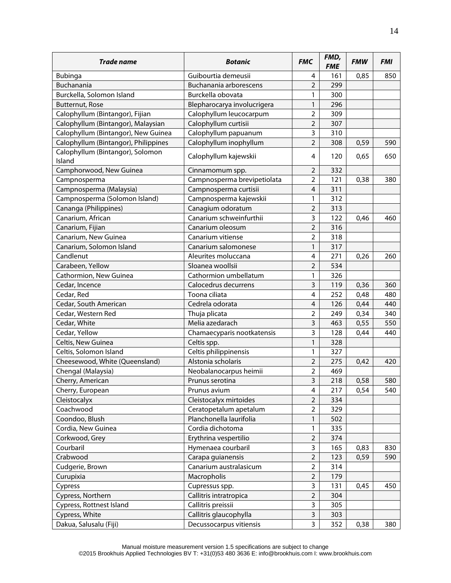| <b>Trade name</b>                          | <b>Botanic</b>              | <b>FMC</b>              | FMD,<br><b>FME</b> | <b>FMW</b> | <b>FMI</b> |
|--------------------------------------------|-----------------------------|-------------------------|--------------------|------------|------------|
| <b>Bubinga</b>                             | Guibourtia demeusii         | 4                       | 161                | 0,85       | 850        |
| Buchanania                                 | Buchanania arborescens      | $\overline{2}$          | 299                |            |            |
| Burckella, Solomon Island                  | Burckella obovata           | 1                       | 300                |            |            |
| Butternut, Rose                            | Blepharocarya involucrigera | 1                       | 296                |            |            |
| Calophyllum (Bintangor), Fijian            | Calophyllum leucocarpum     | $\overline{2}$          | 309                |            |            |
| Calophyllum (Bintangor), Malaysian         | Calophyllum curtisii        | $\overline{2}$          | 307                |            |            |
| Calophyllum (Bintangor), New Guinea        | Calophyllum papuanum        | 3                       | 310                |            |            |
| Calophyllum (Bintangor), Philippines       | Calophyllum inophyllum      | $\overline{2}$          | 308                | 0,59       | 590        |
| Calophyllum (Bintangor), Solomon<br>Island | Calophyllum kajewskii       | 4                       | 120                | 0,65       | 650        |
| Camphorwood, New Guinea                    | Cinnamomum spp.             | $\overline{2}$          | 332                |            |            |
| Campnosperma                               | Campnosperma brevipetiolata | $\overline{2}$          | 121                | 0,38       | 380        |
| Campnosperma (Malaysia)                    | Campnosperma curtisii       | $\overline{4}$          | 311                |            |            |
| Campnosperma (Solomon Island)              | Campnosperma kajewskii      | 1                       | 312                |            |            |
| Cananga (Philippines)                      | Canagium odoratum           | $\overline{2}$          | 313                |            |            |
| Canarium, African                          | Canarium schweinfurthii     | 3                       | 122                | 0,46       | 460        |
| Canarium, Fijian                           | Canarium oleosum            | $\overline{2}$          | 316                |            |            |
| Canarium, New Guinea                       | Canarium vitiense           | $\overline{2}$          | 318                |            |            |
| Canarium, Solomon Island                   | Canarium salomonese         | 1                       | 317                |            |            |
| Candlenut                                  | Aleurites moluccana         | $\overline{\mathbf{4}}$ | 271                | 0,26       | 260        |
| Carabeen, Yellow                           | Sloanea woollsii            | $\overline{2}$          | 534                |            |            |
| Cathormion, New Guinea                     | Cathormion umbellatum       | 1                       | 326                |            |            |
| Cedar, Incence                             | Calocedrus decurrens        | 3                       | 119                | 0,36       | 360        |
| Cedar, Red                                 | Toona ciliata               | $\overline{\mathbf{4}}$ | 252                | 0,48       | 480        |
| Cedar, South American                      | Cedrela odorata             | $\overline{4}$          | 126                | 0,44       | 440        |
| Cedar, Western Red                         | Thuja plicata               | $\overline{2}$          | 249                | 0,34       | 340        |
| Cedar, White                               | Melia azedarach             | 3                       | 463                | 0,55       | 550        |
| Cedar, Yellow                              | Chamaecyparis nootkatensis  | 3                       | 128                | 0,44       | 440        |
| Celtis, New Guinea                         | Celtis spp.                 | 1                       | 328                |            |            |
| Celtis, Solomon Island                     | Celtis philippinensis       | 1                       | 327                |            |            |
| Cheesewood, White (Queensland)             | Alstonia scholaris          | 2                       | 275                | 0,42       | 420        |
| Chengal (Malaysia)                         | Neobalanocarpus heimii      | $\overline{2}$          | 469                |            |            |
| Cherry, American                           | Prunus serotina             | 3                       | 218                | 0,58       | 580        |
| Cherry, European                           | Prunus avium                | 4                       | 217                | 0,54       | 540        |
| Cleistocalyx                               | Cleistocalyx mirtoides      | $\overline{2}$          | 334                |            |            |
| Coachwood                                  | Ceratopetalum apetalum      | $\overline{2}$          | 329                |            |            |
| Coondoo, Blush                             | Planchonella laurifolia     | 1                       | 502                |            |            |
| Cordia, New Guinea                         | Cordia dichotoma            | 1                       | 335                |            |            |
| Corkwood, Grey                             | Erythrina vespertilio       | $\overline{2}$          | 374                |            |            |
| Courbaril                                  | Hymenaea courbaril          | 3                       | 165                | 0,83       | 830        |
| Crabwood                                   | Carapa guianensis           | $\overline{2}$          | 123                | 0,59       | 590        |
| Cudgerie, Brown                            | Canarium australasicum      | $\overline{2}$          | 314                |            |            |
| Curupixia                                  | Macropholis                 | $\mathbf 2$             | 179                |            |            |
| Cypress                                    | Cupressus spp.              | $\mathsf{3}$            | 131                | 0,45       | 450        |
| Cypress, Northern                          | Callitris intratropica      | $\overline{2}$          | 304                |            |            |
| Cypress, Rottnest Island                   | Callitris preissii          | 3                       | 305                |            |            |
| Cypress, White                             | Callitris glaucophylla      | 3                       | 303                |            |            |
| Dakua, Salusalu (Fiji)                     | Decussocarpus vitiensis     | 3                       | 352                | 0,38       | 380        |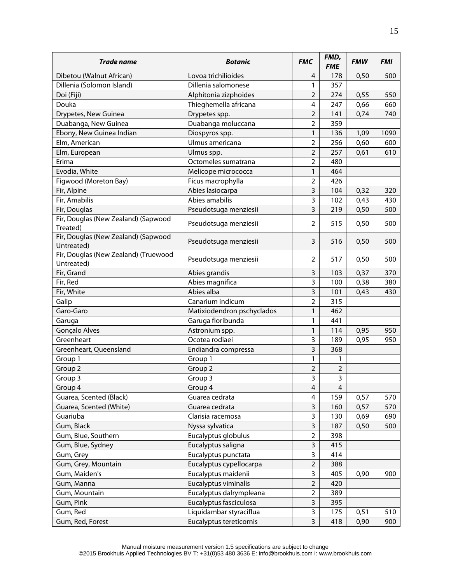| <b>Trade name</b>                                  | <b>Botanic</b>             | <b>FMC</b>              | FMD,<br><b>FME</b> | <b>FMW</b> | <b>FMI</b> |
|----------------------------------------------------|----------------------------|-------------------------|--------------------|------------|------------|
| Dibetou (Walnut African)                           | Lovoa trichilioides        | 4                       | 178                | 0,50       | 500        |
| Dillenia (Solomon Island)                          | Dillenia salomonese        | 1                       | 357                |            |            |
| Doi (Fiji)                                         | Alphitonia zizphoides      | $\overline{2}$          | 274                | 0,55       | 550        |
| Douka                                              | Thieghemella africana      | 4                       | 247                | 0,66       | 660        |
| Drypetes, New Guinea                               | Drypetes spp.              | $\overline{2}$          | 141                | 0,74       | 740        |
| Duabanga, New Guinea                               | Duabanga moluccana         | $\overline{2}$          | 359                |            |            |
| Ebony, New Guinea Indian                           | Diospyros spp.             | 1                       | 136                | 1,09       | 1090       |
| Elm, American                                      | Ulmus americana            | $\overline{2}$          | 256                | 0,60       | 600        |
| Elm, European                                      | Ulmus spp.                 | $\overline{2}$          | 257                | 0,61       | 610        |
| Erima                                              | Octomeles sumatrana        | $\overline{2}$          | 480                |            |            |
| Evodia, White                                      | Melicope micrococca        | 1                       | 464                |            |            |
| Figwood (Moreton Bay)                              | Ficus macrophylla          | $\overline{2}$          | 426                |            |            |
| Fir, Alpine                                        | Abies lasiocarpa           | 3                       | 104                | 0,32       | 320        |
| Fir, Amabilis                                      | Abies amabilis             | 3                       | 102                | 0,43       | 430        |
| Fir, Douglas                                       | Pseudotsuga menziesii      | 3                       | 219                | 0,50       | 500        |
| Fir, Douglas (New Zealand) (Sapwood                |                            |                         |                    |            |            |
| Treated)                                           | Pseudotsuga menziesii      | 2                       | 515                | 0,50       | 500        |
| Fir, Douglas (New Zealand) (Sapwood<br>Untreated)  | Pseudotsuga menziesii      | 3                       | 516                | 0,50       | 500        |
| Fir, Douglas (New Zealand) (Truewood<br>Untreated) | Pseudotsuga menziesii      | 2                       | 517                | 0,50       | 500        |
| Fir, Grand                                         | Abies grandis              | 3                       | 103                | 0,37       | 370        |
| Fir, Red                                           | Abies magnifica            | 3                       | 100                | 0,38       | 380        |
| Fir, White                                         | Abies alba                 | 3                       | 101                | 0,43       | 430        |
| Galip                                              | Canarium indicum           | $\overline{2}$          | 315                |            |            |
| Garo-Garo                                          | Matixiodendron pschyclados | 1                       | 462                |            |            |
| Garuga                                             | Garuga floribunda          | $\mathbf{1}$            | 441                |            |            |
| Gonçalo Alves                                      | Astronium spp.             | 1                       | 114                | 0,95       | 950        |
| Greenheart                                         | Ocotea rodiaei             | 3                       | 189                | 0,95       | 950        |
| Greenheart, Queensland                             | Endiandra compressa        | 3                       | 368                |            |            |
| Group 1                                            | Group 1                    | 1                       | 1                  |            |            |
| Group 2                                            | Group 2                    | $\overline{2}$          | $\overline{2}$     |            |            |
| Group 3                                            | Group 3                    | 3                       | 3                  |            |            |
| Group 4                                            | Group 4                    | 4                       | $\overline{4}$     |            |            |
| Guarea, Scented (Black)                            | Guarea cedrata             | $\overline{4}$          | 159                | 0,57       | 570        |
| Guarea, Scented (White)                            | Guarea cedrata             | 3                       | 160                | 0,57       | 570        |
| Guariuba                                           | Clarisia racemosa          | 3                       | 130                | 0,69       | 690        |
| Gum, Black                                         | Nyssa sylvatica            | 3                       | 187                | 0,50       | 500        |
| Gum, Blue, Southern                                | Eucalyptus globulus        | $\overline{2}$          | 398                |            |            |
| Gum, Blue, Sydney                                  | Eucalyptus saligna         | 3                       | 415                |            |            |
| Gum, Grey                                          | Eucalyptus punctata        | 3                       | 414                |            |            |
| Gum, Grey, Mountain                                | Eucalyptus cypellocarpa    | $\overline{2}$          | 388                |            |            |
| Gum, Maiden's                                      | Eucalyptus maidenii        | 3                       | 405                | 0,90       | 900        |
| Gum, Manna                                         | Eucalyptus viminalis       | $\overline{2}$          | 420                |            |            |
| Gum, Mountain                                      | Eucalyptus dalrympleana    | $\overline{2}$          | 389                |            |            |
| Gum, Pink                                          | Eucalyptus fasciculosa     | $\overline{\mathbf{3}}$ | 395                |            |            |
| Gum, Red                                           | Liquidambar styraciflua    | 3                       | 175                | 0,51       | 510        |
| Gum, Red, Forest                                   | Eucalyptus tereticornis    | $\overline{3}$          | 418                | 0,90       | 900        |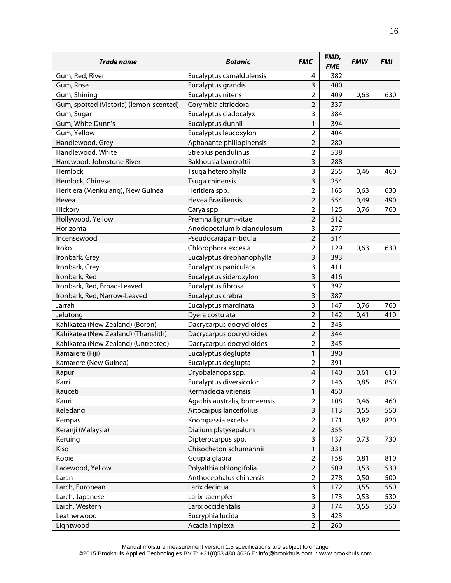| <b>Trade name</b>                       | <b>Botanic</b>                | <b>FMC</b>              | FMD,<br><b>FME</b> | <b>FMW</b> | <b>FMI</b> |
|-----------------------------------------|-------------------------------|-------------------------|--------------------|------------|------------|
| Gum, Red, River                         | Eucalyptus camaldulensis      | 4                       | 382                |            |            |
| Gum, Rose                               | Eucalyptus grandis            | 3                       | 400                |            |            |
| Gum, Shining                            | Eucalyptus nitens             | $\overline{2}$          | 409                | 0,63       | 630        |
| Gum, spotted (Victoria) (lemon-scented) | Corymbia citriodora           | $\overline{2}$          | 337                |            |            |
| Gum, Sugar                              | Eucalyptus cladocalyx         | 3                       | 384                |            |            |
| Gum, White Dunn's                       | Eucalyptus dunnii             | 1                       | 394                |            |            |
| Gum, Yellow                             | Eucalyptus leucoxylon         | $\overline{2}$          | 404                |            |            |
| Handlewood, Grey                        | Aphanante philippinensis      | $\overline{2}$          | 280                |            |            |
| Handlewood, White                       | Streblus pendulinus           | $\overline{2}$          | 538                |            |            |
| Hardwood, Johnstone River               | Bakhousia bancroftii          | 3                       | 288                |            |            |
| Hemlock                                 | Tsuga heterophylla            | 3                       | 255                | 0,46       | 460        |
| Hemlock, Chinese                        | Tsuga chinensis               | 3                       | 254                |            |            |
| Heritiera (Menkulang), New Guinea       | Heritiera spp.                | $\overline{2}$          | 163                | 0,63       | 630        |
| Hevea                                   | <b>Hevea Brasiliensis</b>     | $\overline{2}$          | 554                | 0,49       | 490        |
| Hickory                                 | Carya spp.                    | $\overline{2}$          | 125                | 0,76       | 760        |
| Hollywood, Yellow                       | Premna lignum-vitae           | $\overline{2}$          | 512                |            |            |
| Horizontal                              | Anodopetalum biglandulosum    | 3                       | 277                |            |            |
| Incensewood                             | Pseudocarapa nitidula         | $\overline{2}$          | 514                |            |            |
| Iroko                                   | Chlorophora excesla           | $\overline{2}$          | 129                | 0,63       | 630        |
| Ironbark, Grey                          | Eucalyptus drephanophylla     | 3                       | 393                |            |            |
| Ironbark, Grey                          | Eucalyptus paniculata         | 3                       | 411                |            |            |
| Ironbark, Red                           | Eucalyptus sideroxylon        | 3                       | 416                |            |            |
| Ironbark, Red, Broad-Leaved             | Eucalyptus fibrosa            | 3                       | 397                |            |            |
| Ironbark, Red, Narrow-Leaved            | Eucalyptus crebra             | 3                       | 387                |            |            |
| Jarrah                                  | Eucalyptus marginata          | 3                       | 147                | 0,76       | 760        |
| Jelutong                                | Dyera costulata               | $\overline{2}$          | 142                | 0,41       | 410        |
| Kahikatea (New Zealand) (Boron)         | Dacrycarpus docrydioides      | $\overline{2}$          | 343                |            |            |
| Kahikatea (New Zealand) (Thanalith)     | Dacrycarpus docrydioides      | $\overline{2}$          | 344                |            |            |
| Kahikatea (New Zealand) (Untreated)     | Dacrycarpus docrydioides      | 2                       | 345                |            |            |
| Kamarere (Fiji)                         | Eucalyptus deglupta           | 1                       | 390                |            |            |
| Kamarere (New Guinea)                   | Eucalyptus deglupta           | $\overline{2}$          | 391                |            |            |
| Kapur                                   | Dryobalanops spp.             | $\overline{\mathbf{4}}$ | 140                | 0,61       | 610        |
| Karri                                   | Eucalyptus diversicolor       | $\overline{\mathbf{c}}$ | 146                | 0,85       | 850        |
| Kauceti                                 | Kermadecia vitiensis          | $\mathbf{1}$            | 450                |            |            |
| Kauri                                   | Agathis australis, borneensis | $\overline{2}$          | 108                | 0,46       | 460        |
| Keledang                                | Artocarpus lanceifolius       | 3                       | 113                | 0,55       | 550        |
| Kempas                                  | Koompassia excelsa            | $\overline{2}$          | 171                | 0,82       | 820        |
| Keranji (Malaysia)                      | Dialium platysepalum          | $\overline{2}$          | 355                |            |            |
| Keruing                                 | Dipterocarpus spp.            | 3                       | 137                | 0,73       | 730        |
| Kiso                                    | Chisocheton schumannii        | $\mathbf{1}$            | 331                |            |            |
| Kopie                                   | Goupia glabra                 | $\overline{2}$          | 158                | 0,81       | 810        |
| Lacewood, Yellow                        | Polyalthia oblongifolia       | $\overline{2}$          | 509                | 0,53       | 530        |
| Laran                                   | Anthocephalus chinensis       | $\overline{2}$          | 278                | 0,50       | 500        |
| Larch, European                         | Larix decidua                 | 3                       | 172                | 0,55       | 550        |
| Larch, Japanese                         | Larix kaempferi               | 3                       | 173                | 0,53       | 530        |
| Larch, Western                          | Larix occidentalis            | 3                       | 174                | 0,55       | 550        |
| Leatherwood                             | Eucryphia lucida              | 3                       | 423                |            |            |
| Lightwood                               | Acacia implexa                | $\overline{2}$          | 260                |            |            |
|                                         |                               |                         |                    |            |            |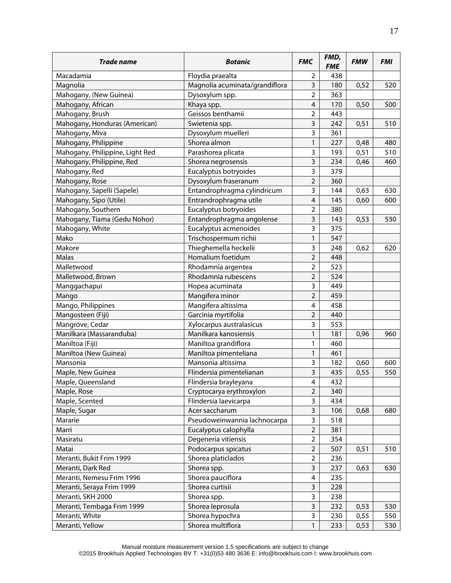| <b>Trade name</b>               | <b>Botanic</b>                 | <b>FMC</b>              | FMD,<br><b>FME</b> | <b>FMW</b> | <b>FMI</b> |
|---------------------------------|--------------------------------|-------------------------|--------------------|------------|------------|
| Macadamia                       | Floydia praealta               | 2                       | 438                |            |            |
| Magnolia                        | Magnolia acuminata/grandiflora | 3                       | 180                | 0,52       | 520        |
| Mahogany, (New Guinea)          | Dysoxylum spp.                 | $\overline{2}$          | 363                |            |            |
| Mahogany, African               | Khaya spp.                     | $\overline{\mathbf{4}}$ | 170                | 0,50       | 500        |
| Mahogany, Brush                 | Geissos benthamii              | $\overline{\mathbf{c}}$ | 443                |            |            |
| Mahogany, Honduras (American)   | Swietenia spp.                 | 3                       | 242                | 0,51       | 510        |
| Mahogany, Miva                  | Dysoxylum muelleri             | 3                       | 361                |            |            |
| Mahogany, Philippine            | Shorea almon                   | 1                       | 227                | 0,48       | 480        |
| Mahogany, Philippine, Light Red | Parashorea plicata             | 3                       | 193                | 0,51       | 510        |
| Mahogany, Philippine, Red       | Shorea negrosensis             | 3                       | 234                | 0,46       | 460        |
| Mahogany, Red                   | Eucalyptus botryoides          | 3                       | 379                |            |            |
| Mahogany, Rose                  | Dysoxylum fraseranum           | $\overline{2}$          | 360                |            |            |
| Mahogany, Sapelli (Sapele)      | Entandrophragma cylindricum    | 3                       | 144                | 0,63       | 630        |
| Mahogany, Sipo (Utile)          | Entrandrophragma utile         | $\overline{\mathbf{4}}$ | 145                | 0,60       | 600        |
| Mahogany, Southern              | Eucalyptus botryoides          | 2                       | 380                |            |            |
| Mahogany, Tiama (Gedu Nohor)    | Entandrophragma angolense      | 3                       | 143                | 0,53       | 530        |
| Mahogany, White                 | Eucalyptus acmenoides          | 3                       | 375                |            |            |
| Mako                            | Trischospermum richii          | 1                       | 547                |            |            |
| Makore                          | Thieghemella heckelii          | 3                       | 248                | 0,62       | 620        |
| Malas                           | Homalium foetidum              | $\overline{2}$          | 448                |            |            |
| Malletwood                      | Rhodamnia argentea             | $\overline{2}$          | 523                |            |            |
| Malletwood, Brown               | Rhodamnia rubescens            | $\overline{2}$          | 524                |            |            |
| Manggachapui                    | Hopea acuminata                | 3                       | 449                |            |            |
| Mango                           | Mangifera minor                | $\overline{2}$          | 459                |            |            |
| Mango, Philippines              | Mangifera altissima            | 4                       | 458                |            |            |
| Mangosteen (Fiji)               | Garcinia myrtifolia            | $\overline{2}$          | 440                |            |            |
| Mangrove, Cedar                 | Xylocarpus australasicus       | 3                       | 553                |            |            |
| Manilkara (Massaranduba)        | Manilkara kanosiensis          | 1                       | 181                | 0,96       | 960        |
| Maniltoa (Fiji)                 | Maniltoa grandiflora           | 1                       | 460                |            |            |
| Maniltoa (New Guinea)           | Maniltoa pimenteliana          | 1                       | 461                |            |            |
| Mansonia                        | Mansonia altissima             | 3                       | 182                | 0,60       | 600        |
| Maple, New Guinea               | Flindersia pimentelianan       | 3                       | 435                | 0,55       | 550        |
| Maple, Queensland               | Flindersia brayleyana          | 4                       | 432                |            |            |
| Maple, Rose                     | Cryptocarya erythroxylon       | $\overline{2}$          | 340                |            |            |
| Maple, Scented                  | Flindersia laevicarpa          | 3                       | 434                |            |            |
| Maple, Sugar                    | Acer saccharum                 | 3                       | 106                | 0,68       | 680        |
| Mararie                         | Pseudoweinwannia lachnocarpa   | 3                       | 518                |            |            |
| Marri                           | Eucalyptus calophylla          | $\overline{2}$          | 381                |            |            |
| Masiratu                        | Degeneria vitiensis            | $\overline{2}$          | 354                |            |            |
| Matai                           | Podocarpus spicatus            | $\overline{2}$          | 507                | 0,51       | 510        |
| Meranti, Bukit Frim 1999        | Shorea platiclados             | $\overline{2}$          | 236                |            |            |
| Meranti, Dark Red               | Shorea spp.                    | 3                       | 237                | 0,63       | 630        |
| Meranti, Nemesu Frim 1996       | Shorea pauciflora              | $\overline{\mathbf{4}}$ | 235                |            |            |
| Meranti, Seraya Frim 1999       | Shorea curtisii                | 3                       | 228                |            |            |
| Meranti, SKH 2000               | Shorea spp.                    | 3                       | 238                |            |            |
| Meranti, Tembaga Frim 1999      | Shorea leprosula               | 3                       | 232                | 0,53       | 530        |
| Meranti, White                  | Shorea hypochra                | 3                       | 230                | 0,55       | 550        |
| Meranti, Yellow                 | Shorea multiflora              | $\mathbf{1}$            | 233                | 0,53       | 530        |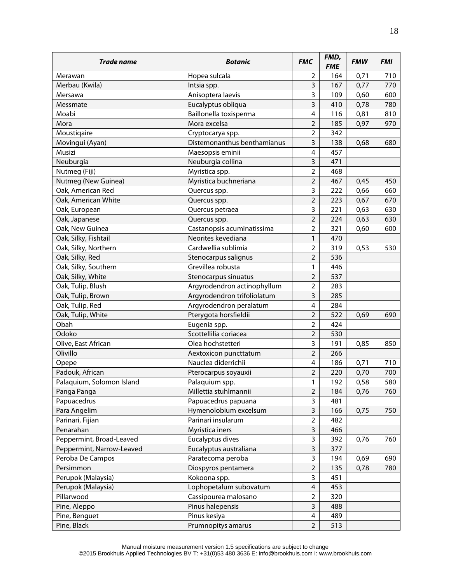| <b>Trade name</b>         | <b>Botanic</b>              | <b>FMC</b>              | FMD,<br><b>FME</b> | <b>FMW</b> | <b>FMI</b> |
|---------------------------|-----------------------------|-------------------------|--------------------|------------|------------|
| Merawan                   | Hopea sulcala               | 2                       | 164                | 0,71       | 710        |
| Merbau (Kwila)            | Intsia spp.                 | 3                       | 167                | 0,77       | 770        |
| Mersawa                   | Anisoptera laevis           | 3                       | 109                | 0,60       | 600        |
| Messmate                  | Eucalyptus obliqua          | 3                       | 410                | 0,78       | 780        |
| Moabi                     | Baillonella toxisperma      | $\overline{\mathbf{4}}$ | 116                | 0,81       | 810        |
| Mora                      | Mora excelsa                | $\overline{2}$          | 185                | 0,97       | 970        |
| Moustiqaire               | Cryptocarya spp.            | $\overline{2}$          | 342                |            |            |
| Movingui (Ayan)           | Distemonanthus benthamianus | 3                       | 138                | 0,68       | 680        |
| Musizi                    | Maesopsis eminii            | $\overline{4}$          | 457                |            |            |
| Neuburgia                 | Neuburgia collina           | 3                       | 471                |            |            |
| Nutmeg (Fiji)             | Myristica spp.              | $\overline{2}$          | 468                |            |            |
| Nutmeg (New Guinea)       | Myristica buchneriana       | $\overline{2}$          | 467                | 0,45       | 450        |
| Oak, American Red         | Quercus spp.                | 3                       | 222                | 0,66       | 660        |
| Oak, American White       | Quercus spp.                | $\overline{2}$          | 223                | 0,67       | 670        |
| Oak, European             | Quercus petraea             | 3                       | 221                | 0,63       | 630        |
| Oak, Japanese             | Quercus spp.                | $\overline{2}$          | 224                | 0,63       | 630        |
| Oak, New Guinea           | Castanopsis acuminatissima  | $\overline{2}$          | 321                | 0,60       | 600        |
| Oak, Silky, Fishtail      | Neorites kevediana          | 1                       | 470                |            |            |
| Oak, Silky, Northern      | Cardwellia sublimia         | $\overline{2}$          | 319                | 0,53       | 530        |
| Oak, Silky, Red           | Stenocarpus salignus        | $\overline{2}$          | 536                |            |            |
| Oak, Silky, Southern      | Grevillea robusta           | 1                       | 446                |            |            |
| Oak, Silky, White         | Stenocarpus sinuatus        | $\overline{2}$          | 537                |            |            |
| Oak, Tulip, Blush         | Argyrodendron actinophyllum | $\overline{2}$          | 283                |            |            |
| Oak, Tulip, Brown         | Argyrodendron trifoliolatum | 3                       | 285                |            |            |
| Oak, Tulip, Red           | Argyrodendron peralatum     | $\overline{\mathbf{4}}$ | 284                |            |            |
| Oak, Tulip, White         | Pterygota horsfieldii       | $\overline{2}$          | 522                | 0,69       | 690        |
| Obah                      | Eugenia spp.                | $\overline{2}$          | 424                |            |            |
| Odoko                     | Scottellilia coriacea       | $\overline{2}$          | 530                |            |            |
| Olive, East African       | Olea hochstetteri           | 3                       | 191                | 0,85       | 850        |
| Olivillo                  | Aextoxicon puncttatum       | $\overline{2}$          | 266                |            |            |
| Opepe                     | Nauclea diderrichii         | 4                       | 186                | 0,71       | 710        |
| Padouk, African           | Pterocarpus soyauxii        | 2                       | 220                | 0,70       | 700        |
| Palaquium, Solomon Island | Palaquium spp.              | 1                       | 192                | 0,58       | 580        |
| Panga Panga               | Millettia stuhlmannii       | $\overline{2}$          | 184                | 0,76       | 760        |
| Papuacedrus               | Papuacedrus papuana         | 3                       | 481                |            |            |
| Para Angelim              | Hymenolobium excelsum       | 3                       | 166                | 0,75       | 750        |
| Parinari, Fijian          | Parinari insularum          | $\overline{2}$          | 482                |            |            |
| Penarahan                 | Myristica iners             | 3                       | 466                |            |            |
| Peppermint, Broad-Leaved  | Eucalyptus dives            | 3                       | 392                | 0,76       | 760        |
| Peppermint, Narrow-Leaved | Eucalyptus australiana      | 3                       | 377                |            |            |
| Peroba De Campos          | Paratecoma peroba           | 3                       | 194                | 0,69       | 690        |
| Persimmon                 | Diospyros pentamera         | $\overline{2}$          | 135                | 0,78       | 780        |
| Perupok (Malaysia)        | Kokoona spp.                | 3                       | 451                |            |            |
| Perupok (Malaysia)        | Lophopetalum subovatum      | $\overline{\mathbf{4}}$ | 453                |            |            |
| Pillarwood                | Cassipourea malosano        | 2                       | 320                |            |            |
| Pine, Aleppo              | Pinus halepensis            | 3                       | 488                |            |            |
| Pine, Benguet             | Pinus kesiya                | 4                       | 489                |            |            |
| Pine, Black               | Prumnopitys amarus          | $\overline{2}$          | 513                |            |            |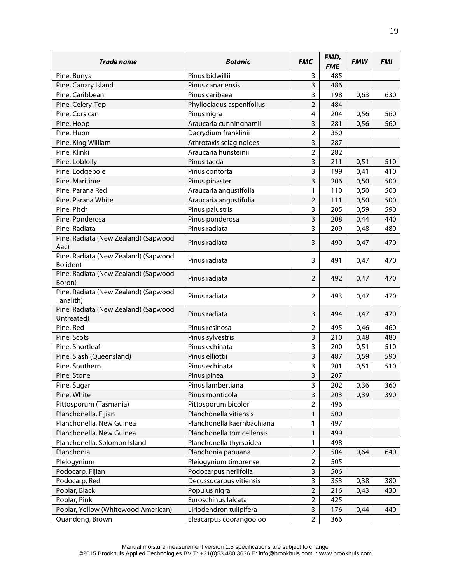| Trade name                                         | <b>Botanic</b>              | <b>FMC</b>     | FMD,<br><b>FME</b> | <b>FMW</b> | <b>FMI</b> |
|----------------------------------------------------|-----------------------------|----------------|--------------------|------------|------------|
| Pine, Bunya                                        | Pinus bidwillii             | 3              | 485                |            |            |
| Pine, Canary Island                                | Pinus canariensis           | 3              | 486                |            |            |
| Pine, Caribbean                                    | Pinus caribaea              | 3              | 198                | 0,63       | 630        |
| Pine, Celery-Top                                   | Phyllocladus aspenifolius   | $\overline{2}$ | 484                |            |            |
| Pine, Corsican                                     | Pinus nigra                 | 4              | 204                | 0,56       | 560        |
| Pine, Hoop                                         | Araucaria cunninghamii      | 3              | 281                | 0,56       | 560        |
| Pine, Huon                                         | Dacrydium franklinii        | $\overline{2}$ | 350                |            |            |
| Pine, King William                                 | Athrotaxis selaginoides     | 3              | 287                |            |            |
| Pine, Klinki                                       | Araucaria hunsteinii        | $\overline{2}$ | 282                |            |            |
| Pine, Loblolly                                     | Pinus taeda                 | 3              | 211                | 0,51       | 510        |
| Pine, Lodgepole                                    | Pinus contorta              | 3              | 199                | 0,41       | 410        |
| Pine, Maritime                                     | Pinus pinaster              | 3              | 206                | 0,50       | 500        |
| Pine, Parana Red                                   | Araucaria angustifolia      | 1              | 110                | 0,50       | 500        |
| Pine, Parana White                                 | Araucaria angustifolia      | $\overline{2}$ | 111                | 0,50       | 500        |
| Pine, Pitch                                        | Pinus palustris             | 3              | 205                | 0,59       | 590        |
| Pine, Ponderosa                                    | Pinus ponderosa             | 3              | 208                | 0,44       | 440        |
| Pine, Radiata                                      | Pinus radiata               | 3              | 209                | 0,48       | 480        |
| Pine, Radiata (New Zealand) (Sapwood               |                             |                |                    |            |            |
| Aac)                                               | Pinus radiata               | 3              | 490                | 0,47       | 470        |
| Pine, Radiata (New Zealand) (Sapwood<br>Boliden)   | Pinus radiata               | 3              | 491                | 0,47       | 470        |
| Pine, Radiata (New Zealand) (Sapwood<br>Boron)     | Pinus radiata               | 2              | 492                | 0,47       | 470        |
| Pine, Radiata (New Zealand) (Sapwood<br>Tanalith)  | Pinus radiata               | 2              | 493                | 0,47       | 470        |
| Pine, Radiata (New Zealand) (Sapwood<br>Untreated) | Pinus radiata               | 3              | 494                | 0,47       | 470        |
| Pine, Red                                          | Pinus resinosa              | 2              | 495                | 0,46       | 460        |
| Pine, Scots                                        | Pinus sylvestris            | 3              | 210                | 0,48       | 480        |
| Pine, Shortleaf                                    | Pinus echinata              | 3              | 200                | 0,51       | 510        |
| Pine, Slash (Queensland)                           | Pinus elliottii             | 3              | 487                | 0,59       | 590        |
| Pine, Southern                                     | Pinus echinata              | 3              | 201                | 0,51       | 510        |
| Pine, Stone                                        | Pinus pinea                 | 3              | 207                |            |            |
| Pine, Sugar                                        | Pinus lambertiana           | 3              | 202                | 0,36       | 360        |
| Pine, White                                        | Pinus monticola             | 3              | 203                | 0,39       | 390        |
| Pittosporum (Tasmania)                             | Pittosporum bicolor         | $\overline{2}$ | 496                |            |            |
| Planchonella, Fijian                               | Planchonella vitiensis      | 1              | 500                |            |            |
| Planchonella, New Guinea                           | Planchonella kaernbachiana  | 1              | 497                |            |            |
| Planchonella, New Guinea                           | Planchonella torricellensis | 1              | 499                |            |            |
| Planchonella, Solomon Island                       | Planchonella thyrsoidea     | 1              | 498                |            |            |
| Planchonia                                         | Planchonia papuana          | $\overline{2}$ | 504                | 0,64       | 640        |
| Pleiogynium                                        | Pleiogynium timorense       | $\overline{2}$ | 505                |            |            |
| Podocarp, Fijian                                   | Podocarpus neriifolia       | 3              | 506                |            |            |
| Podocarp, Red                                      | Decussocarpus vitiensis     | 3              | 353                | 0,38       | 380        |
| Poplar, Black                                      | Populus nigra               | $\overline{2}$ | 216                | 0,43       | 430        |
| Poplar, Pink                                       | Euroschinus falcata         | $\overline{2}$ | 425                |            |            |
| Poplar, Yellow (Whitewood American)                | Liriodendron tulipifera     | 3              | 176                | 0,44       | 440        |
| Quandong, Brown                                    | Eleacarpus coorangooloo     | $\overline{2}$ | 366                |            |            |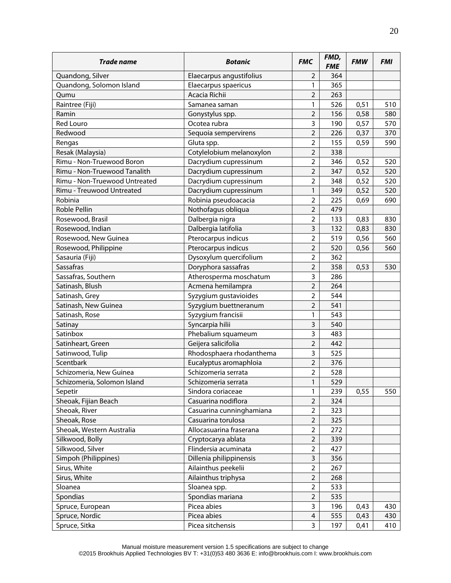| Trade name                    | <b>Botanic</b>           | <b>FMC</b>              | FMD,<br><b>FME</b> | <b>FMW</b> | <b>FMI</b> |
|-------------------------------|--------------------------|-------------------------|--------------------|------------|------------|
| Quandong, Silver              | Elaecarpus angustifolius | 2                       | 364                |            |            |
| Quandong, Solomon Island      | Elaecarpus spaericus     | 1                       | 365                |            |            |
| Qumu                          | Acacia Richii            | $\overline{2}$          | 263                |            |            |
| Raintree (Fiji)               | Samanea saman            | 1                       | 526                | 0,51       | 510        |
| Ramin                         | Gonystylus spp.          | $\overline{2}$          | 156                | 0,58       | 580        |
| <b>Red Louro</b>              | Ocotea rubra             | 3                       | 190                | 0,57       | 570        |
| Redwood                       | Sequoia sempervirens     | $\overline{2}$          | 226                | 0,37       | 370        |
| Rengas                        | Gluta spp.               | $\overline{2}$          | 155                | 0,59       | 590        |
| Resak (Malaysia)              | Cotylelobium melanoxylon | $\overline{2}$          | 338                |            |            |
| Rimu - Non-Truewood Boron     | Dacrydium cupressinum    | $\overline{2}$          | 346                | 0,52       | 520        |
| Rimu - Non-Truewood Tanalith  | Dacrydium cupressinum    | $\overline{2}$          | 347                | 0,52       | 520        |
| Rimu - Non-Truewood Untreated | Dacrydium cupressinum    | $\overline{2}$          | 348                | 0,52       | 520        |
| Rimu - Treuwood Untreated     | Dacrydium cupressinum    | 1                       | 349                | 0,52       | 520        |
| Robinia                       | Robinia pseudoacacia     | $\overline{2}$          | 225                | 0,69       | 690        |
| Roble Pellin                  | Nothofagus obliqua       | $\overline{2}$          | 479                |            |            |
| Rosewood, Brasil              | Dalbergia nigra          | $\overline{2}$          | 133                | 0,83       | 830        |
| Rosewood, Indian              | Dalbergia latifolia      | 3                       | 132                | 0,83       | 830        |
| Rosewood, New Guinea          | Pterocarpus indicus      | $\overline{2}$          | 519                | 0,56       | 560        |
| Rosewood, Philippine          | Pterocarpus indicus      | $\overline{2}$          | 520                | 0,56       | 560        |
| Sasauria (Fiji)               | Dysoxylum quercifolium   | $\overline{2}$          | 362                |            |            |
| <b>Sassafras</b>              | Doryphora sassafras      | $\overline{2}$          | 358                | 0,53       | 530        |
| Sassafras, Southern           | Atherosperma moschatum   | 3                       | 286                |            |            |
| Satinash, Blush               | Acmena hemilampra        | $\overline{2}$          | 264                |            |            |
| Satinash, Grey                | Syzygium gustavioides    | $\overline{2}$          | 544                |            |            |
| Satinash, New Guinea          | Syzygium buettneranum    | $\overline{2}$          | 541                |            |            |
| Satinash, Rose                | Syzygium francisii       | 1                       | 543                |            |            |
| Satinay                       | Syncarpia hilii          | 3                       | 540                |            |            |
| Satinbox                      | Phebalium squameum       | 3                       | 483                |            |            |
| Satinheart, Green             | Geijera salicifolia      | $\overline{2}$          | 442                |            |            |
| Satinwood, Tulip              | Rhodosphaera rhodanthema | 3                       | 525                |            |            |
| Scentbark                     | Eucalyptus aromaphloia   | $\overline{2}$          | 376                |            |            |
| Schizomeria, New Guinea       | Schizomeria serrata      | $\overline{2}$          | 528                |            |            |
| Schizomeria, Solomon Island   | Schizomeria serrata      | $\mathbf{1}$            | 529                |            |            |
| Sepetir                       | Sindora coriaceae        | 1                       | 239                | 0,55       | 550        |
| Sheoak, Fijian Beach          | Casuarina nodiflora      | 2                       | 324                |            |            |
| Sheoak, River                 | Casuarina cunninghamiana | $\overline{2}$          | 323                |            |            |
| Sheoak, Rose                  | Casuarina torulosa       | $\overline{2}$          | 325                |            |            |
| Sheoak, Western Australia     | Allocasuarina fraserana  | $\overline{2}$          | 272                |            |            |
| Silkwood, Bolly               | Cryptocarya ablata       | $\overline{2}$          | 339                |            |            |
| Silkwood, Silver              | Flindersia acuminata     | $\overline{2}$          | 427                |            |            |
| Simpoh (Philippines)          | Dillenia philippinensis  | 3                       | 356                |            |            |
| Sirus, White                  | Ailainthus peekelii      | $\overline{2}$          | 267                |            |            |
| Sirus, White                  | Ailainthus triphysa      | $\overline{2}$          | 268                |            |            |
| Sloanea                       | Sloanea spp.             | $\overline{2}$          | 533                |            |            |
| Spondias                      | Spondias mariana         | $\overline{2}$          | 535                |            |            |
| Spruce, European              | Picea abies              | 3                       | 196                | 0,43       | 430        |
| Spruce, Nordic                | Picea abies              | $\overline{\mathbf{4}}$ | 555                | 0,43       | 430        |
| Spruce, Sitka                 | Picea sitchensis         | 3                       | 197                | 0,41       | 410        |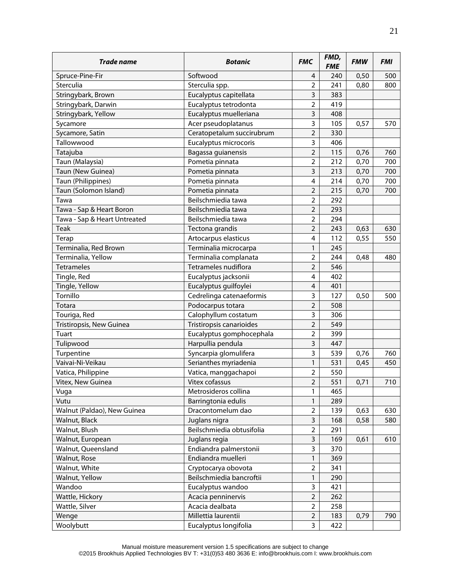| <b>Trade name</b>                 | <b>Botanic</b>                        | <b>FMC</b>              | FMD,<br><b>FME</b> | <b>FMW</b> | <b>FMI</b> |
|-----------------------------------|---------------------------------------|-------------------------|--------------------|------------|------------|
| Spruce-Pine-Fir                   | Softwood                              | 4                       | 240                | 0,50       | 500        |
| Sterculia                         | Sterculia spp.                        | $\overline{2}$          | 241                | 0,80       | 800        |
| Stringybark, Brown                | Eucalyptus capitellata                | 3                       | 383                |            |            |
| Stringybark, Darwin               | Eucalyptus tetrodonta                 | $\overline{2}$          | 419                |            |            |
| Stringybark, Yellow               | Eucalyptus muelleriana                | 3                       | 408                |            |            |
| Sycamore                          | Acer pseudoplatanus                   | 3                       | 105                | 0,57       | 570        |
| Sycamore, Satin                   | Ceratopetalum succirubrum             | $\overline{2}$          | 330                |            |            |
| Tallowwood                        | Eucalyptus microcoris                 | 3                       | 406                |            |            |
| Tatajuba                          | Bagassa guianensis                    | $\overline{2}$          | 115                | 0,76       | 760        |
| Taun (Malaysia)                   | Pometia pinnata                       | $\overline{2}$          | 212                | 0,70       | 700        |
| Taun (New Guinea)                 | Pometia pinnata                       | 3                       | 213                | 0,70       | 700        |
| Taun (Philippines)                | Pometia pinnata                       | $\overline{4}$          | 214                | 0,70       | 700        |
| Taun (Solomon Island)             | Pometia pinnata                       | $\overline{2}$          | 215                | 0,70       | 700        |
| Tawa                              | Beilschmiedia tawa                    | $\overline{2}$          | 292                |            |            |
| Tawa - Sap & Heart Boron          | Beilschmiedia tawa                    | $\overline{2}$          | 293                |            |            |
| Tawa - Sap & Heart Untreated      | Beilschmiedia tawa                    | $\overline{2}$          | 294                |            |            |
| <b>Teak</b>                       | Tectona grandis                       | $\overline{2}$          | 243                | 0,63       | 630        |
| Terap                             | Artocarpus elasticus                  | 4                       | 112                | 0,55       | 550        |
| Terminalia, Red Brown             | Terminalia microcarpa                 | 1                       | 245                |            |            |
| Terminalia, Yellow                | Terminalia complanata                 | $\overline{2}$          | 244                | 0,48       | 480        |
| Tetrameles                        | Tetrameles nudiflora                  | $\overline{2}$          | 546                |            |            |
| Tingle, Red                       | Eucalyptus jacksonii                  | 4                       | 402                |            |            |
| Tingle, Yellow                    | Eucalyptus guilfoylei                 | $\overline{\mathbf{4}}$ | 401                |            |            |
| Tornillo                          | Cedrelinga catenaeformis              | 3                       | 127                | 0,50       | 500        |
| Totara                            | Podocarpus totara                     | $\overline{2}$          | 508                |            |            |
| Touriga, Red                      | Calophyllum costatum                  | 3                       | 306                |            |            |
| Tristiropsis, New Guinea          | Tristiropsis canarioides              | $\overline{2}$          | 549                |            |            |
| Tuart                             | Eucalyptus gomphocephala              | $\overline{2}$          | 399                |            |            |
| Tulipwood                         | Harpullia pendula                     | 3                       | 447                |            |            |
| Turpentine                        | Syncarpia glomulifera                 | 3                       | 539                | 0,76       | 760        |
| Vaivai-Ni-Veikau                  | Serianthes myriadenia                 | 1                       | 531                | 0,45       | 450        |
| Vatica, Philippine                | Vatica, manggachapoi                  | $\overline{2}$          | 550                |            |            |
| Vitex, New Guinea                 | Vitex cofassus                        | $\overline{2}$          | 551                | 0,71       | 710        |
| Vuga                              | Metrosideros collina                  | 1                       | 465                |            |            |
| Vutu                              | Barringtonia edulis                   | 1                       | 289                |            |            |
| Walnut (Paldao), New Guinea       | Dracontomelum dao                     | $\overline{2}$          | 139                | 0,63       | 630        |
| Walnut, Black                     | Juglans nigra                         | 3                       | 168                | 0,58       | 580        |
| Walnut, Blush                     | Beilschmiedia obtusifolia             | $\overline{2}$          | 291                |            |            |
| Walnut, European                  | Juglans regia                         | 3                       | 169                | 0,61       | 610        |
| Walnut, Queensland                | Endiandra palmerstonii                | 3                       | 370                |            |            |
| Walnut, Rose                      | Endiandra muelleri                    | 1                       | 369                |            |            |
| Walnut, White                     | Cryptocarya obovota                   | $\overline{2}$          | 341                |            |            |
| Walnut, Yellow                    | Beilschmiedia bancroftii              | 1                       | 290                |            |            |
| Wandoo                            |                                       | 3                       | 421                |            |            |
|                                   | Eucalyptus wandoo                     | $\mathbf 2$             |                    |            |            |
| Wattle, Hickory<br>Wattle, Silver | Acacia penninervis<br>Acacia dealbata | $\overline{2}$          | 262<br>258         |            |            |
|                                   | Millettia laurentii                   | $\mathbf 2$             |                    |            |            |
| Wenge                             | Eucalyptus longifolia                 |                         | 183                | 0,79       | 790        |
| Woolybutt                         |                                       | 3                       | 422                |            |            |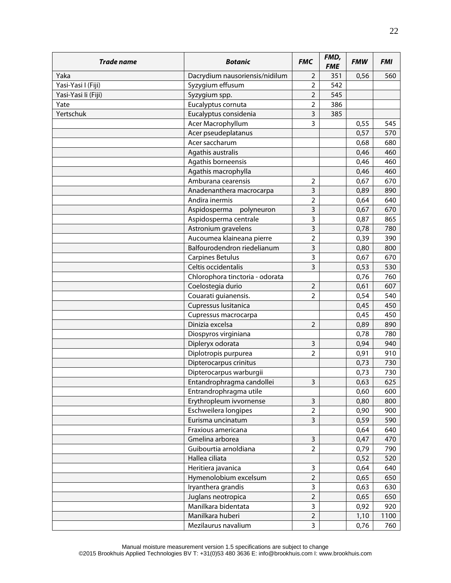| Trade name          | <b>Botanic</b>                  | <b>FMC</b>     | FMD,<br><b>FME</b> | <b>FMW</b> | <b>FMI</b> |
|---------------------|---------------------------------|----------------|--------------------|------------|------------|
| Yaka                | Dacrydium nausoriensis/nidilum  | 2              | 351                | 0,56       | 560        |
| Yasi-Yasi I (Fiji)  | Syzygium effusum                | $\overline{2}$ | 542                |            |            |
| Yasi-Yasi li (Fiji) | Syzygium spp.                   | $\overline{2}$ | 545                |            |            |
| Yate                | Eucalyptus cornuta              | $\overline{2}$ | 386                |            |            |
| Yertschuk           | Eucalyptus considenia           | 3              | 385                |            |            |
|                     | Acer Macrophyllum               | $\overline{3}$ |                    | 0,55       | 545        |
|                     | Acer pseudeplatanus             |                |                    | 0,57       | 570        |
|                     | Acer saccharum                  |                |                    | 0,68       | 680        |
|                     | Agathis australis               |                |                    | 0,46       | 460        |
|                     | Agathis borneensis              |                |                    | 0,46       | 460        |
|                     | Agathis macrophylla             |                |                    | 0,46       | 460        |
|                     | Amburana cearensis              | $\overline{2}$ |                    | 0,67       | 670        |
|                     | Anadenanthera macrocarpa        | 3              |                    | 0,89       | 890        |
|                     | Andira inermis                  | $\overline{2}$ |                    | 0,64       | 640        |
|                     | Aspidosperma<br>polyneuron      | 3              |                    | 0,67       | 670        |
|                     | Aspidosperma centrale           | 3              |                    | 0,87       | 865        |
|                     | Astronium gravelens             | $\overline{3}$ |                    | 0,78       | 780        |
|                     | Aucoumea klaineana pierre       | $\overline{2}$ |                    | 0,39       | 390        |
|                     | Balfourodendron riedelianum     | 3              |                    | 0,80       | 800        |
|                     | <b>Carpines Betulus</b>         | 3              |                    | 0,67       | 670        |
|                     | Celtis occidentalis             | 3              |                    | 0,53       | 530        |
|                     | Chlorophora tinctoria - odorata |                |                    | 0,76       | 760        |
|                     | Coelostegia durio               | $\overline{2}$ |                    | 0,61       | 607        |
|                     | Couarati guianensis.            | $\overline{2}$ |                    | 0,54       | 540        |
|                     | Cupressus lusitanica            |                |                    | 0,45       | 450        |
|                     | Cupressus macrocarpa            |                |                    | 0,45       | 450        |
|                     | Dinizia excelsa                 | $\overline{2}$ |                    | 0,89       | 890        |
|                     | Diospyros virginiana            |                |                    | 0,78       | 780        |
|                     | Dipleryx odorata                | 3              |                    | 0,94       | 940        |
|                     | Diplotropis purpurea            | $\overline{2}$ |                    | 0,91       | 910        |
|                     | Dipterocarpus crinitus          |                |                    | 0,73       | 730        |
|                     | Dipterocarpus warburgii         |                |                    | 0,73       | 730        |
|                     | Entandrophragma candollei       | 3              |                    | 0,63       | 625        |
|                     | Entrandrophragma utile          |                |                    | 0,60       | 600        |
|                     | Erythropleum ivvornense         | 3              |                    | 0,80       | 800        |
|                     | Eschweilera longipes            | $\overline{2}$ |                    | 0,90       | 900        |
|                     | Eurisma uncinatum               | $\overline{3}$ |                    | 0,59       | 590        |
|                     | Fraxious americana              |                |                    | 0,64       | 640        |
|                     | Gmelina arborea                 | 3              |                    | 0,47       | 470        |
|                     | Guibourtia arnoldiana           | $\overline{2}$ |                    | 0,79       | 790        |
|                     | Hallea ciliata                  |                |                    | 0,52       | 520        |
|                     | Heritiera javanica              | 3              |                    | 0,64       | 640        |
|                     | Hymenolobium excelsum           | $\overline{2}$ |                    | 0,65       | 650        |
|                     | Iryanthera grandis              | 3              |                    | 0,63       | 630        |
|                     | Juglans neotropica              | $\overline{2}$ |                    | 0,65       | 650        |
|                     | Manilkara bidentata             | 3              |                    | 0,92       | 920        |
|                     | Manilkara huberi                | $\mathbf 2$    |                    | 1,10       | 1100       |
|                     | Mezilaurus navalium             | $\overline{3}$ |                    | 0,76       | 760        |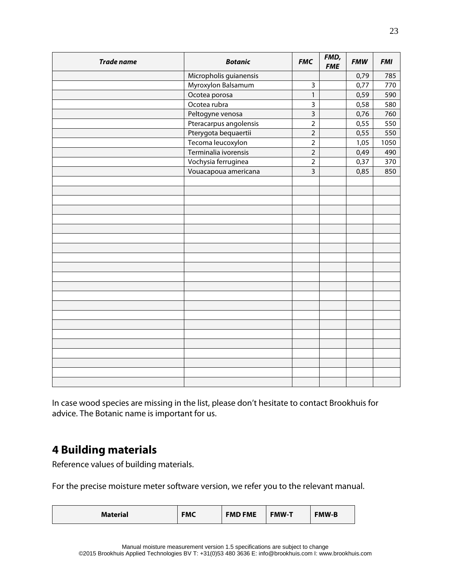| <b>Trade name</b> | <b>Botanic</b>         | <b>FMC</b>     | FMD,<br><b>FME</b> | <b>FMW</b> | <b>FMI</b> |
|-------------------|------------------------|----------------|--------------------|------------|------------|
|                   | Micropholis guianensis |                |                    | 0,79       | 785        |
|                   | Myroxylon Balsamum     | 3              |                    | 0,77       | 770        |
|                   | Ocotea porosa          | $\mathbf{1}$   |                    | 0,59       | 590        |
|                   | Ocotea rubra           | 3              |                    | 0,58       | 580        |
|                   | Peltogyne venosa       | $\overline{3}$ |                    | 0,76       | 760        |
|                   | Pteracarpus angolensis | $\overline{2}$ |                    | 0,55       | 550        |
|                   | Pterygota bequaertii   | $\overline{2}$ |                    | 0,55       | 550        |
|                   | Tecoma leucoxylon      | $\overline{2}$ |                    | 1,05       | 1050       |
|                   | Terminalia ivorensis   | $\overline{2}$ |                    | 0,49       | 490        |
|                   | Vochysia ferruginea    | $\overline{2}$ |                    | 0,37       | 370        |
|                   | Vouacapoua americana   | 3              |                    | 0,85       | 850        |
|                   |                        |                |                    |            |            |
|                   |                        |                |                    |            |            |
|                   |                        |                |                    |            |            |
|                   |                        |                |                    |            |            |
|                   |                        |                |                    |            |            |
|                   |                        |                |                    |            |            |
|                   |                        |                |                    |            |            |
|                   |                        |                |                    |            |            |
|                   |                        |                |                    |            |            |
|                   |                        |                |                    |            |            |
|                   |                        |                |                    |            |            |
|                   |                        |                |                    |            |            |
|                   |                        |                |                    |            |            |
|                   |                        |                |                    |            |            |
|                   |                        |                |                    |            |            |
|                   |                        |                |                    |            |            |
|                   |                        |                |                    |            |            |
|                   |                        |                |                    |            |            |
|                   |                        |                |                    |            |            |
|                   |                        |                |                    |            |            |
|                   |                        |                |                    |            |            |
|                   |                        |                |                    |            |            |

<span id="page-24-0"></span>In case wood species are missing in the list, please don't hesitate to contact Brookhuis for advice. The Botanic name is important for us.

### **4 Building materials**

Reference values of building materials.

For the precise moisture meter software version, we refer you to the relevant manual.

| <b>FMD FME</b><br><b>FMC</b><br><b>FMW-B</b><br><b>FMW-T</b><br><b>Material</b> |  |
|---------------------------------------------------------------------------------|--|
|---------------------------------------------------------------------------------|--|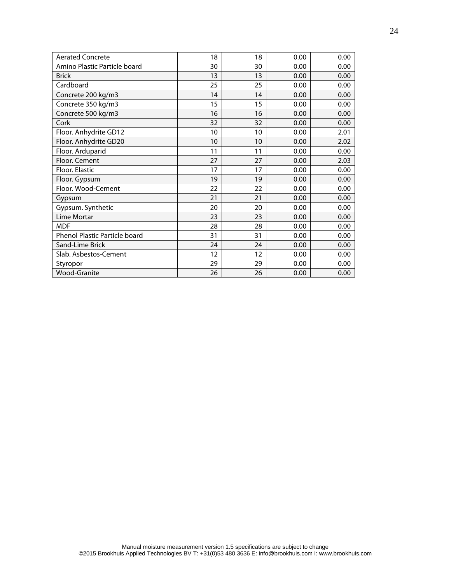| <b>Aerated Concrete</b>       | 18 | 18 | 0.00 | 0.00 |
|-------------------------------|----|----|------|------|
| Amino Plastic Particle board  | 30 | 30 | 0.00 | 0.00 |
| <b>Brick</b>                  | 13 | 13 | 0.00 | 0.00 |
| Cardboard                     | 25 | 25 | 0.00 | 0.00 |
| Concrete 200 kg/m3            | 14 | 14 | 0.00 | 0.00 |
| Concrete 350 kg/m3            | 15 | 15 | 0.00 | 0.00 |
| Concrete 500 kg/m3            | 16 | 16 | 0.00 | 0.00 |
| Cork                          | 32 | 32 | 0.00 | 0.00 |
| Floor. Anhydrite GD12         | 10 | 10 | 0.00 | 2.01 |
| Floor. Anhydrite GD20         | 10 | 10 | 0.00 | 2.02 |
| Floor. Arduparid              | 11 | 11 | 0.00 | 0.00 |
| Floor. Cement                 | 27 | 27 | 0.00 | 2.03 |
| Floor. Elastic                | 17 | 17 | 0.00 | 0.00 |
| Floor. Gypsum                 | 19 | 19 | 0.00 | 0.00 |
| Floor. Wood-Cement            | 22 | 22 | 0.00 | 0.00 |
| Gypsum                        | 21 | 21 | 0.00 | 0.00 |
| Gypsum. Synthetic             | 20 | 20 | 0.00 | 0.00 |
| Lime Mortar                   | 23 | 23 | 0.00 | 0.00 |
| <b>MDF</b>                    | 28 | 28 | 0.00 | 0.00 |
| Phenol Plastic Particle board | 31 | 31 | 0.00 | 0.00 |
| Sand-Lime Brick               | 24 | 24 | 0.00 | 0.00 |
| Slab. Asbestos-Cement         | 12 | 12 | 0.00 | 0.00 |
| Styropor                      | 29 | 29 | 0.00 | 0.00 |
| <b>Wood-Granite</b>           | 26 | 26 | 0.00 | 0.00 |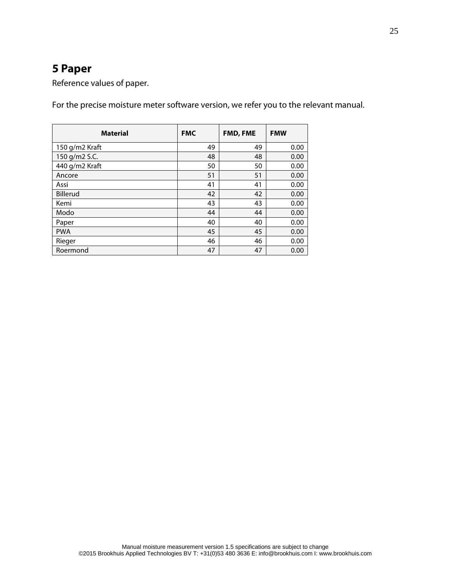# <span id="page-26-0"></span>**5 Paper**

Reference values of paper.

For the precise moisture meter software version, we refer you to the relevant manual.

| <b>Material</b> | <b>FMC</b> | <b>FMD, FME</b> | <b>FMW</b> |
|-----------------|------------|-----------------|------------|
| 150 g/m2 Kraft  | 49         | 49              | 0.00       |
| 150 g/m2 S.C.   | 48         | 48              | 0.00       |
| 440 g/m2 Kraft  | 50         | 50              | 0.00       |
| Ancore          | 51         | 51              | 0.00       |
| Assi            | 41         | 41              | 0.00       |
| Billerud        | 42         | 42              | 0.00       |
| Kemi            | 43         | 43              | 0.00       |
| Modo            | 44         | 44              | 0.00       |
| Paper           | 40         | 40              | 0.00       |
| <b>PWA</b>      | 45         | 45              | 0.00       |
| Rieger          | 46         | 46              | 0.00       |
| Roermond        | 47         | 47              | 0.00       |